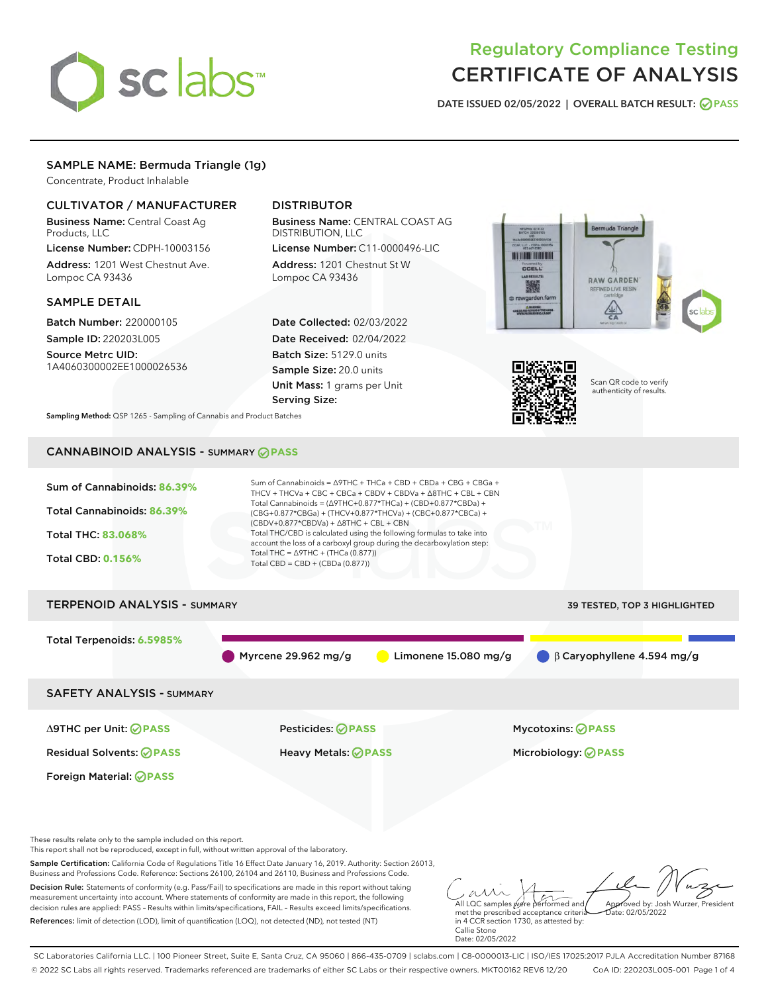# sclabs<sup>\*</sup>

# Regulatory Compliance Testing CERTIFICATE OF ANALYSIS

DATE ISSUED 02/05/2022 | OVERALL BATCH RESULT: @ PASS

# SAMPLE NAME: Bermuda Triangle (1g)

Concentrate, Product Inhalable

# CULTIVATOR / MANUFACTURER

Business Name: Central Coast Ag Products, LLC

License Number: CDPH-10003156 Address: 1201 West Chestnut Ave. Lompoc CA 93436

#### SAMPLE DETAIL

Batch Number: 220000105 Sample ID: 220203L005

Source Metrc UID: 1A4060300002EE1000026536

# DISTRIBUTOR

Business Name: CENTRAL COAST AG DISTRIBUTION, LLC

License Number: C11-0000496-LIC Address: 1201 Chestnut St W Lompoc CA 93436

Date Collected: 02/03/2022 Date Received: 02/04/2022 Batch Size: 5129.0 units Sample Size: 20.0 units Unit Mass: 1 grams per Unit Serving Size:





Scan QR code to verify authenticity of results.

Sampling Method: QSP 1265 - Sampling of Cannabis and Product Batches

# CANNABINOID ANALYSIS - SUMMARY **PASS**



Decision Rule: Statements of conformity (e.g. Pass/Fail) to specifications are made in this report without taking measurement uncertainty into account. Where statements of conformity are made in this report, the following decision rules are applied: PASS – Results within limits/specifications, FAIL – Results exceed limits/specifications. References: limit of detection (LOD), limit of quantification (LOQ), not detected (ND), not tested (NT)

All LQC samples were performed and met the prescribed acceptance criteria in 4 CCR section 1730, as attested by: Approved by: Josh Wurzer, President  $\frac{1}{2}$ ate: 02/05/2022

Callie Stone Date: 02/05/2022

SC Laboratories California LLC. | 100 Pioneer Street, Suite E, Santa Cruz, CA 95060 | 866-435-0709 | sclabs.com | C8-0000013-LIC | ISO/IES 17025:2017 PJLA Accreditation Number 87168 © 2022 SC Labs all rights reserved. Trademarks referenced are trademarks of either SC Labs or their respective owners. MKT00162 REV6 12/20 CoA ID: 220203L005-001 Page 1 of 4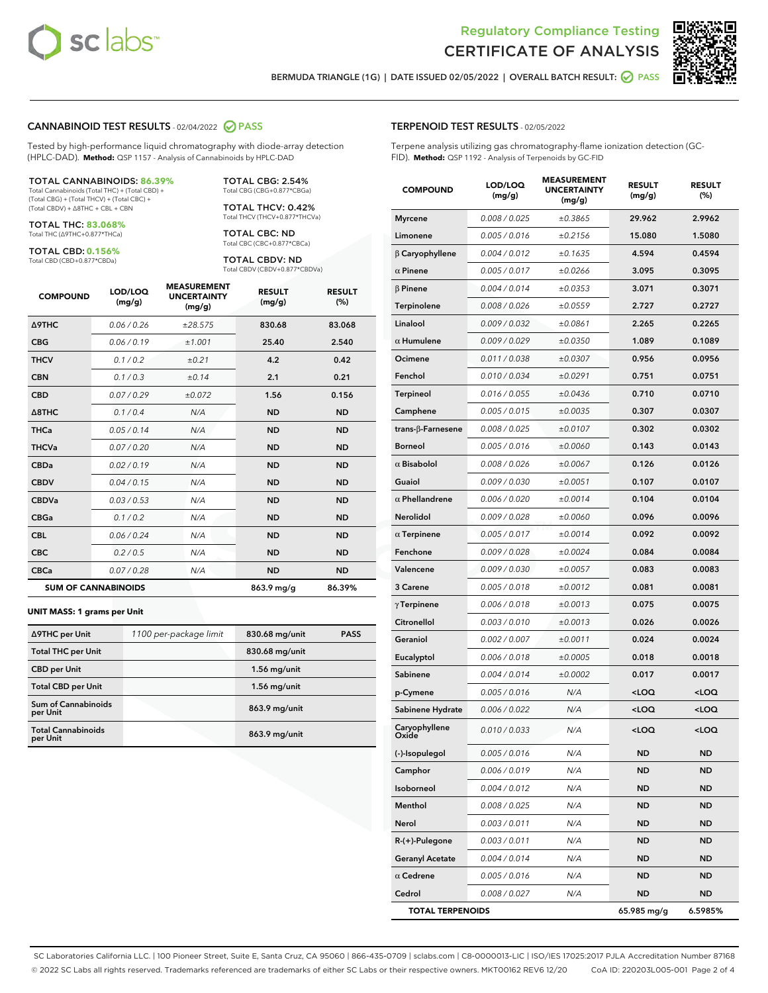



BERMUDA TRIANGLE (1G) | DATE ISSUED 02/05/2022 | OVERALL BATCH RESULT: @ PASS

#### CANNABINOID TEST RESULTS - 02/04/2022 2 PASS

Tested by high-performance liquid chromatography with diode-array detection (HPLC-DAD). **Method:** QSP 1157 - Analysis of Cannabinoids by HPLC-DAD

#### TOTAL CANNABINOIDS: **86.39%**

Total Cannabinoids (Total THC) + (Total CBD) + (Total CBG) + (Total THCV) + (Total CBC) + (Total CBDV) + ∆8THC + CBL + CBN

TOTAL THC: **83.068%** Total THC (∆9THC+0.877\*THCa)

TOTAL CBD: **0.156%** Total CBD (CBD+0.877\*CBDa)

TOTAL CBG: 2.54% Total CBG (CBG+0.877\*CBGa) TOTAL THCV: 0.42%

Total THCV (THCV+0.877\*THCVa)

TOTAL CBC: ND Total CBC (CBC+0.877\*CBCa)

TOTAL CBDV: ND Total CBDV (CBDV+0.877\*CBDVa)

| <b>COMPOUND</b>  | LOD/LOQ<br>(mg/g)          | <b>MEASUREMENT</b><br><b>UNCERTAINTY</b><br>(mg/g) | <b>RESULT</b><br>(mg/g) | <b>RESULT</b><br>(%) |
|------------------|----------------------------|----------------------------------------------------|-------------------------|----------------------|
| <b>A9THC</b>     | 0.06/0.26                  | ±28.575                                            | 830.68                  | 83.068               |
| <b>CBG</b>       | 0.06 / 0.19                | ±1.001                                             | 25.40                   | 2.540                |
| <b>THCV</b>      | 0.1 / 0.2                  | ±0.21                                              | 4.2                     | 0.42                 |
| <b>CBN</b>       | 0.1/0.3                    | ±0.14                                              | 2.1                     | 0.21                 |
| <b>CBD</b>       | 0.07/0.29                  | ±0.072                                             | 1.56                    | 0.156                |
| $\triangle$ 8THC | 0.1/0.4                    | N/A                                                | <b>ND</b>               | <b>ND</b>            |
| <b>THCa</b>      | 0.05/0.14                  | N/A                                                | <b>ND</b>               | <b>ND</b>            |
| <b>THCVa</b>     | 0.07/0.20                  | N/A                                                | <b>ND</b>               | <b>ND</b>            |
| <b>CBDa</b>      | 0.02 / 0.19                | N/A                                                | <b>ND</b>               | <b>ND</b>            |
| <b>CBDV</b>      | 0.04 / 0.15                | N/A                                                | <b>ND</b>               | <b>ND</b>            |
| <b>CBDVa</b>     | 0.03/0.53                  | N/A                                                | <b>ND</b>               | <b>ND</b>            |
| <b>CBGa</b>      | 0.1 / 0.2                  | N/A                                                | <b>ND</b>               | <b>ND</b>            |
| <b>CBL</b>       | 0.06 / 0.24                | N/A                                                | <b>ND</b>               | <b>ND</b>            |
| <b>CBC</b>       | 0.2 / 0.5                  | N/A                                                | <b>ND</b>               | <b>ND</b>            |
| <b>CBCa</b>      | 0.07/0.28                  | N/A                                                | <b>ND</b>               | <b>ND</b>            |
|                  | <b>SUM OF CANNABINOIDS</b> |                                                    | 863.9 mg/g              | 86.39%               |

#### **UNIT MASS: 1 grams per Unit**

| ∆9THC per Unit                         | 1100 per-package limit | 830.68 mg/unit | <b>PASS</b> |
|----------------------------------------|------------------------|----------------|-------------|
| <b>Total THC per Unit</b>              |                        | 830.68 mg/unit |             |
| <b>CBD</b> per Unit                    |                        | $1.56$ mg/unit |             |
| <b>Total CBD per Unit</b>              |                        | $1.56$ mg/unit |             |
| <b>Sum of Cannabinoids</b><br>per Unit |                        | 863.9 mg/unit  |             |
| <b>Total Cannabinoids</b><br>per Unit  |                        | 863.9 mg/unit  |             |

| <b>COMPOUND</b>           | LOD/LOQ<br>(mg/g) | <b>MEASUREMENT</b><br><b>UNCERTAINTY</b><br>(mg/g) | <b>RESULT</b><br>(mg/g)                         | <b>RESULT</b><br>(%) |
|---------------------------|-------------------|----------------------------------------------------|-------------------------------------------------|----------------------|
| <b>Myrcene</b>            | 0.008 / 0.025     | ±0.3865                                            | 29.962                                          | 2.9962               |
| Limonene                  | 0.005 / 0.016     | ±0.2156                                            | 15.080                                          | 1.5080               |
| $\beta$ Caryophyllene     | 0.004 / 0.012     | ±0.1635                                            | 4.594                                           | 0.4594               |
| $\alpha$ Pinene           | 0.005 / 0.017     | ±0.0266                                            | 3.095                                           | 0.3095               |
| $\beta$ Pinene            | 0.004 / 0.014     | ±0.0353                                            | 3.071                                           | 0.3071               |
| Terpinolene               | 0.008 / 0.026     | ±0.0559                                            | 2.727                                           | 0.2727               |
| Linalool                  | 0.009 / 0.032     | ±0.0861                                            | 2.265                                           | 0.2265               |
| $\alpha$ Humulene         | 0.009 / 0.029     | ±0.0350                                            | 1.089                                           | 0.1089               |
| Ocimene                   | 0.011 / 0.038     | ±0.0307                                            | 0.956                                           | 0.0956               |
| Fenchol                   | 0.010 / 0.034     | ±0.0291                                            | 0.751                                           | 0.0751               |
| Terpineol                 | 0.016 / 0.055     | ±0.0436                                            | 0.710                                           | 0.0710               |
| Camphene                  | 0.005 / 0.015     | ±0.0035                                            | 0.307                                           | 0.0307               |
| trans- $\beta$ -Farnesene | 0.008 / 0.025     | ±0.0107                                            | 0.302                                           | 0.0302               |
| <b>Borneol</b>            | 0.005 / 0.016     | ±0.0060                                            | 0.143                                           | 0.0143               |
| $\alpha$ Bisabolol        | 0.008 / 0.026     | ±0.0067                                            | 0.126                                           | 0.0126               |
| Guaiol                    | 0.009 / 0.030     | ±0.0051                                            | 0.107                                           | 0.0107               |
| $\alpha$ Phellandrene     | 0.006 / 0.020     | ±0.0014                                            | 0.104                                           | 0.0104               |
| Nerolidol                 | 0.009 / 0.028     | ±0.0060                                            | 0.096                                           | 0.0096               |
| $\alpha$ Terpinene        | 0.005 / 0.017     | ±0.0014                                            | 0.092                                           | 0.0092               |
| Fenchone                  | 0.009 / 0.028     | ±0.0024                                            | 0.084                                           | 0.0084               |
| Valencene                 | 0.009 / 0.030     | ±0.0057                                            | 0.083                                           | 0.0083               |
| 3 Carene                  | 0.005 / 0.018     | ±0.0012                                            | 0.081                                           | 0.0081               |
| $\gamma$ Terpinene        | 0.006 / 0.018     | ±0.0013                                            | 0.075                                           | 0.0075               |
| Citronellol               | 0.003 / 0.010     | ±0.0013                                            | 0.026                                           | 0.0026               |
| Geraniol                  | 0.002 / 0.007     | ±0.0011                                            | 0.024                                           | 0.0024               |
| Eucalyptol                | 0.006 / 0.018     | ±0.0005                                            | 0.018                                           | 0.0018               |
| Sabinene                  | 0.004 / 0.014     | ±0.0002                                            | 0.017                                           | 0.0017               |
| p-Cymene                  | 0.005 / 0.016     | N/A                                                | $<$ LOQ                                         | <loq< th=""></loq<>  |
| Sabinene Hydrate          | 0.006 / 0.022     | N/A                                                | <loq< th=""><th><loq< th=""></loq<></th></loq<> | <loq< th=""></loq<>  |
| Caryophyllene<br>Oxide    | 0.010 / 0.033     | N/A                                                | <loq< th=""><th><loq< th=""></loq<></th></loq<> | <loq< th=""></loq<>  |
| (-)-Isopulegol            | 0.005 / 0.016     | N/A                                                | ND                                              | ND                   |
| Camphor                   | 0.006 / 0.019     | N/A                                                | ND                                              | ND                   |
| Isoborneol                | 0.004 / 0.012     | N/A                                                | ND                                              | ND                   |
| Menthol                   | 0.008 / 0.025     | N/A                                                | ND                                              | ND                   |
| Nerol                     | 0.003 / 0.011     | N/A                                                | ND                                              | ND                   |
| R-(+)-Pulegone            | 0.003 / 0.011     | N/A                                                | ND                                              | ND                   |
| <b>Geranyl Acetate</b>    | 0.004 / 0.014     | N/A                                                | ND                                              | ND                   |
| $\alpha$ Cedrene          | 0.005 / 0.016     | N/A                                                | ND                                              | ND                   |
| Cedrol                    | 0.008 / 0.027     | N/A                                                | ND                                              | ND                   |
| <b>TOTAL TERPENOIDS</b>   |                   |                                                    | 65.985 mg/g                                     | 6.5985%              |

SC Laboratories California LLC. | 100 Pioneer Street, Suite E, Santa Cruz, CA 95060 | 866-435-0709 | sclabs.com | C8-0000013-LIC | ISO/IES 17025:2017 PJLA Accreditation Number 87168 © 2022 SC Labs all rights reserved. Trademarks referenced are trademarks of either SC Labs or their respective owners. MKT00162 REV6 12/20 CoA ID: 220203L005-001 Page 2 of 4

# TERPENOID TEST RESULTS - 02/05/2022

Terpene analysis utilizing gas chromatography-flame ionization detection (GC-FID). **Method:** QSP 1192 - Analysis of Terpenoids by GC-FID

MEASUREMENT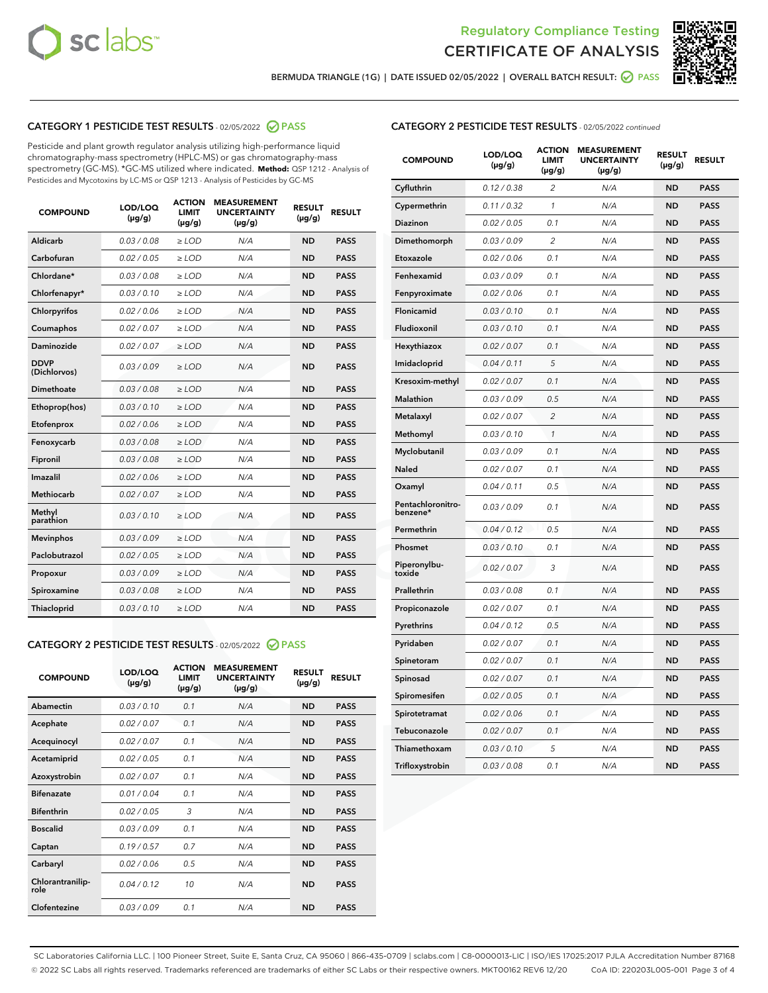



BERMUDA TRIANGLE (1G) | DATE ISSUED 02/05/2022 | OVERALL BATCH RESULT: @ PASS

# CATEGORY 1 PESTICIDE TEST RESULTS - 02/05/2022 2 PASS

Pesticide and plant growth regulator analysis utilizing high-performance liquid chromatography-mass spectrometry (HPLC-MS) or gas chromatography-mass spectrometry (GC-MS). \*GC-MS utilized where indicated. **Method:** QSP 1212 - Analysis of Pesticides and Mycotoxins by LC-MS or QSP 1213 - Analysis of Pesticides by GC-MS

| <b>COMPOUND</b>             | LOD/LOQ<br>$(\mu g/g)$ | <b>ACTION</b><br>LIMIT<br>$(\mu g/g)$ | <b>MEASUREMENT</b><br><b>UNCERTAINTY</b><br>$(\mu g/g)$ | <b>RESULT</b><br>$(\mu g/g)$ | <b>RESULT</b> |
|-----------------------------|------------------------|---------------------------------------|---------------------------------------------------------|------------------------------|---------------|
| Aldicarb                    | 0.03/0.08              | $\ge$ LOD                             | N/A                                                     | <b>ND</b>                    | <b>PASS</b>   |
| Carbofuran                  | 0.02 / 0.05            | $>$ LOD                               | N/A                                                     | <b>ND</b>                    | <b>PASS</b>   |
| Chlordane*                  | 0.03 / 0.08            | $\ge$ LOD                             | N/A                                                     | <b>ND</b>                    | <b>PASS</b>   |
| Chlorfenapyr*               | 0.03/0.10              | $\ge$ LOD                             | N/A                                                     | <b>ND</b>                    | <b>PASS</b>   |
| Chlorpyrifos                | 0.02 / 0.06            | $\ge$ LOD                             | N/A                                                     | <b>ND</b>                    | <b>PASS</b>   |
| Coumaphos                   | 0.02 / 0.07            | $\ge$ LOD                             | N/A                                                     | <b>ND</b>                    | <b>PASS</b>   |
| Daminozide                  | 0.02/0.07              | $>$ LOD                               | N/A                                                     | <b>ND</b>                    | <b>PASS</b>   |
| <b>DDVP</b><br>(Dichlorvos) | 0.03/0.09              | $\geq$ LOD                            | N/A                                                     | <b>ND</b>                    | <b>PASS</b>   |
| <b>Dimethoate</b>           | 0.03 / 0.08            | $\ge$ LOD                             | N/A                                                     | <b>ND</b>                    | <b>PASS</b>   |
| Ethoprop(hos)               | 0.03/0.10              | $\geq$ LOD                            | N/A                                                     | <b>ND</b>                    | <b>PASS</b>   |
| Etofenprox                  | 0.02/0.06              | $>$ LOD                               | N/A                                                     | <b>ND</b>                    | <b>PASS</b>   |
| Fenoxycarb                  | 0.03 / 0.08            | $\ge$ LOD                             | N/A                                                     | <b>ND</b>                    | <b>PASS</b>   |
| Fipronil                    | 0.03 / 0.08            | $\ge$ LOD                             | N/A                                                     | <b>ND</b>                    | <b>PASS</b>   |
| Imazalil                    | 0.02 / 0.06            | $\geq$ LOD                            | N/A                                                     | <b>ND</b>                    | <b>PASS</b>   |
| Methiocarb                  | 0.02 / 0.07            | $\ge$ LOD                             | N/A                                                     | <b>ND</b>                    | <b>PASS</b>   |
| Methyl<br>parathion         | 0.03/0.10              | $\geq$ LOD                            | N/A                                                     | <b>ND</b>                    | <b>PASS</b>   |
| <b>Mevinphos</b>            | 0.03/0.09              | $>$ LOD                               | N/A                                                     | <b>ND</b>                    | <b>PASS</b>   |
| Paclobutrazol               | 0.02 / 0.05            | $\ge$ LOD                             | N/A                                                     | <b>ND</b>                    | <b>PASS</b>   |
| Propoxur                    | 0.03/0.09              | $\ge$ LOD                             | N/A                                                     | <b>ND</b>                    | <b>PASS</b>   |
| Spiroxamine                 | 0.03 / 0.08            | $\ge$ LOD                             | N/A                                                     | <b>ND</b>                    | <b>PASS</b>   |
| Thiacloprid                 | 0.03/0.10              | $\geq$ LOD                            | N/A                                                     | <b>ND</b>                    | <b>PASS</b>   |
|                             |                        |                                       |                                                         |                              |               |

#### CATEGORY 2 PESTICIDE TEST RESULTS - 02/05/2022 2 PASS

| <b>COMPOUND</b>          | LOD/LOQ<br>$(\mu g/g)$ | <b>ACTION</b><br><b>LIMIT</b><br>$(\mu g/g)$ | <b>MEASUREMENT</b><br><b>UNCERTAINTY</b><br>$(\mu g/g)$ | <b>RESULT</b><br>$(\mu g/g)$ | <b>RESULT</b> |
|--------------------------|------------------------|----------------------------------------------|---------------------------------------------------------|------------------------------|---------------|
| Abamectin                | 0.03/0.10              | 0.1                                          | N/A                                                     | <b>ND</b>                    | <b>PASS</b>   |
| Acephate                 | 0.02/0.07              | 0.1                                          | N/A                                                     | <b>ND</b>                    | <b>PASS</b>   |
| Acequinocyl              | 0.02/0.07              | 0.1                                          | N/A                                                     | <b>ND</b>                    | <b>PASS</b>   |
| Acetamiprid              | 0.02/0.05              | 0.1                                          | N/A                                                     | <b>ND</b>                    | <b>PASS</b>   |
| Azoxystrobin             | 0.02/0.07              | 0.1                                          | N/A                                                     | <b>ND</b>                    | <b>PASS</b>   |
| <b>Bifenazate</b>        | 0.01/0.04              | 0.1                                          | N/A                                                     | <b>ND</b>                    | <b>PASS</b>   |
| <b>Bifenthrin</b>        | 0.02 / 0.05            | 3                                            | N/A                                                     | <b>ND</b>                    | <b>PASS</b>   |
| <b>Boscalid</b>          | 0.03/0.09              | 0.1                                          | N/A                                                     | <b>ND</b>                    | <b>PASS</b>   |
| Captan                   | 0.19/0.57              | 0.7                                          | N/A                                                     | <b>ND</b>                    | <b>PASS</b>   |
| Carbaryl                 | 0.02/0.06              | 0.5                                          | N/A                                                     | <b>ND</b>                    | <b>PASS</b>   |
| Chlorantranilip-<br>role | 0.04/0.12              | 10                                           | N/A                                                     | <b>ND</b>                    | <b>PASS</b>   |
| Clofentezine             | 0.03/0.09              | 0.1                                          | N/A                                                     | <b>ND</b>                    | <b>PASS</b>   |

|  | <b>CATEGORY 2 PESTICIDE TEST RESULTS</b> - 02/05/2022 continued |
|--|-----------------------------------------------------------------|
|  |                                                                 |

| <b>COMPOUND</b>               | LOD/LOQ<br>(µg/g) | <b>ACTION</b><br>LIMIT<br>(µg/g) | <b>MEASUREMENT</b><br><b>UNCERTAINTY</b><br>(µg/g) | <b>RESULT</b><br>(µg/g) | <b>RESULT</b> |
|-------------------------------|-------------------|----------------------------------|----------------------------------------------------|-------------------------|---------------|
| Cyfluthrin                    | 0.12 / 0.38       | $\overline{c}$                   | N/A                                                | <b>ND</b>               | <b>PASS</b>   |
| Cypermethrin                  | 0.11/0.32         | 1                                | N/A                                                | <b>ND</b>               | <b>PASS</b>   |
| Diazinon                      | 0.02 / 0.05       | 0.1                              | N/A                                                | <b>ND</b>               | <b>PASS</b>   |
| Dimethomorph                  | 0.03 / 0.09       | 2                                | N/A                                                | <b>ND</b>               | <b>PASS</b>   |
| Etoxazole                     | 0.02 / 0.06       | 0.1                              | N/A                                                | <b>ND</b>               | <b>PASS</b>   |
| Fenhexamid                    | 0.03 / 0.09       | 0.1                              | N/A                                                | <b>ND</b>               | <b>PASS</b>   |
| Fenpyroximate                 | 0.02 / 0.06       | 0.1                              | N/A                                                | <b>ND</b>               | <b>PASS</b>   |
| Flonicamid                    | 0.03 / 0.10       | 0.1                              | N/A                                                | <b>ND</b>               | <b>PASS</b>   |
| Fludioxonil                   | 0.03 / 0.10       | 0.1                              | N/A                                                | <b>ND</b>               | <b>PASS</b>   |
| Hexythiazox                   | 0.02 / 0.07       | 0.1                              | N/A                                                | <b>ND</b>               | <b>PASS</b>   |
| Imidacloprid                  | 0.04 / 0.11       | 5                                | N/A                                                | <b>ND</b>               | <b>PASS</b>   |
| Kresoxim-methyl               | 0.02 / 0.07       | 0.1                              | N/A                                                | <b>ND</b>               | <b>PASS</b>   |
| Malathion                     | 0.03 / 0.09       | 0.5                              | N/A                                                | <b>ND</b>               | <b>PASS</b>   |
| Metalaxyl                     | 0.02 / 0.07       | 2                                | N/A                                                | <b>ND</b>               | <b>PASS</b>   |
| Methomyl                      | 0.03 / 0.10       | $\mathcal{I}$                    | N/A                                                | <b>ND</b>               | <b>PASS</b>   |
| Myclobutanil                  | 0.03 / 0.09       | 0.1                              | N/A                                                | <b>ND</b>               | <b>PASS</b>   |
| Naled                         | 0.02 / 0.07       | 0.1                              | N/A                                                | <b>ND</b>               | <b>PASS</b>   |
| Oxamyl                        | 0.04 / 0.11       | 0.5                              | N/A                                                | <b>ND</b>               | <b>PASS</b>   |
| Pentachloronitro-<br>benzene* | 0.03 / 0.09       | 0.1                              | N/A                                                | <b>ND</b>               | <b>PASS</b>   |
| Permethrin                    | 0.04/0.12         | 0.5                              | N/A                                                | <b>ND</b>               | <b>PASS</b>   |
| Phosmet                       | 0.03 / 0.10       | 0.1                              | N/A                                                | <b>ND</b>               | <b>PASS</b>   |
| Piperonylbu-<br>toxide        | 0.02 / 0.07       | 3                                | N/A                                                | <b>ND</b>               | <b>PASS</b>   |
| Prallethrin                   | 0.03 / 0.08       | 0.1                              | N/A                                                | <b>ND</b>               | <b>PASS</b>   |
| Propiconazole                 | 0.02 / 0.07       | 0.1                              | N/A                                                | <b>ND</b>               | <b>PASS</b>   |
| Pyrethrins                    | 0.04 / 0.12       | 0.5                              | N/A                                                | <b>ND</b>               | <b>PASS</b>   |
| Pyridaben                     | 0.02 / 0.07       | 0.1                              | N/A                                                | <b>ND</b>               | <b>PASS</b>   |
| Spinetoram                    | 0.02 / 0.07       | 0.1                              | N/A                                                | <b>ND</b>               | <b>PASS</b>   |
| Spinosad                      | 0.02 / 0.07       | 0.1                              | N/A                                                | <b>ND</b>               | <b>PASS</b>   |
| Spiromesifen                  | 0.02 / 0.05       | 0.1                              | N/A                                                | <b>ND</b>               | <b>PASS</b>   |
| Spirotetramat                 | 0.02 / 0.06       | 0.1                              | N/A                                                | ND                      | <b>PASS</b>   |
| Tebuconazole                  | 0.02 / 0.07       | 0.1                              | N/A                                                | <b>ND</b>               | <b>PASS</b>   |
| Thiamethoxam                  | 0.03 / 0.10       | 5                                | N/A                                                | <b>ND</b>               | <b>PASS</b>   |
| Trifloxystrobin               | 0.03 / 0.08       | 0.1                              | N/A                                                | <b>ND</b>               | <b>PASS</b>   |

SC Laboratories California LLC. | 100 Pioneer Street, Suite E, Santa Cruz, CA 95060 | 866-435-0709 | sclabs.com | C8-0000013-LIC | ISO/IES 17025:2017 PJLA Accreditation Number 87168 © 2022 SC Labs all rights reserved. Trademarks referenced are trademarks of either SC Labs or their respective owners. MKT00162 REV6 12/20 CoA ID: 220203L005-001 Page 3 of 4